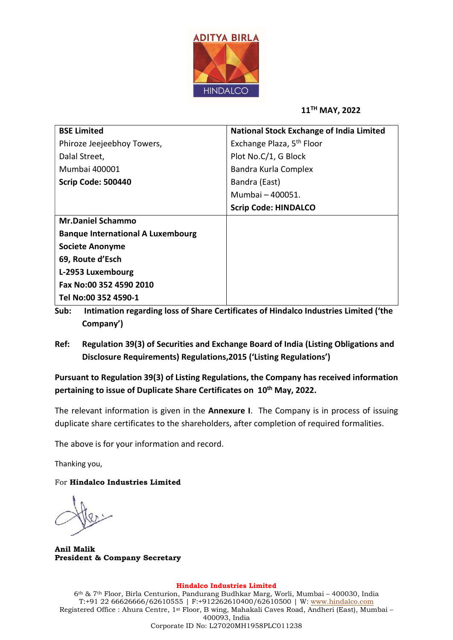

11TH MAY, 2022

| <b>BSE Limited</b>                       | <b>National Stock Exchange of India Limited</b> |  |  |  |
|------------------------------------------|-------------------------------------------------|--|--|--|
| Phiroze Jeejeebhoy Towers,               | Exchange Plaza, 5 <sup>th</sup> Floor           |  |  |  |
| Dalal Street,                            | Plot No.C/1, G Block                            |  |  |  |
| Mumbai 400001                            | Bandra Kurla Complex                            |  |  |  |
| Scrip Code: 500440                       | Bandra (East)                                   |  |  |  |
|                                          | Mumbai - 400051.                                |  |  |  |
|                                          | <b>Scrip Code: HINDALCO</b>                     |  |  |  |
| <b>Mr.Daniel Schammo</b>                 |                                                 |  |  |  |
| <b>Banque International A Luxembourg</b> |                                                 |  |  |  |
| <b>Societe Anonyme</b>                   |                                                 |  |  |  |
| 69, Route d'Esch                         |                                                 |  |  |  |
| L-2953 Luxembourg                        |                                                 |  |  |  |
| Fax No:00 352 4590 2010                  |                                                 |  |  |  |
| Tel No:00 352 4590-1                     |                                                 |  |  |  |

- Sub: Intimation regarding loss of Share Certificates of Hindalco Industries Limited ('the Company')
- Ref: Regulation 39(3) of Securities and Exchange Board of India (Listing Obligations and Disclosure Requirements) Regulations,2015 ('Listing Regulations')

Pursuant to Regulation 39(3) of Listing Regulations, the Company has received information pertaining to issue of Duplicate Share Certificates on 10<sup>th</sup> May, 2022.

The relevant information is given in the **Annexure I**. The Company is in process of issuing duplicate share certificates to the shareholders, after completion of required formalities.

The above is for your information and record.

Thanking you,

For Hindalco Industries Limited

Anil Malik President & Company Secretary

## Hindalco Industries Limited

6th & 7th Floor, Birla Centurion, Pandurang Budhkar Marg, Worli, Mumbai – 400030, India T:+91 22 66626666/62610555 | F:+912262610400/62610500 | W: www.hindalco.com Registered Office : Ahura Centre, 1st Floor, B wing, Mahakali Caves Road, Andheri (East), Mumbai – 400093, India Corporate ID No: L27020MH1958PLC011238